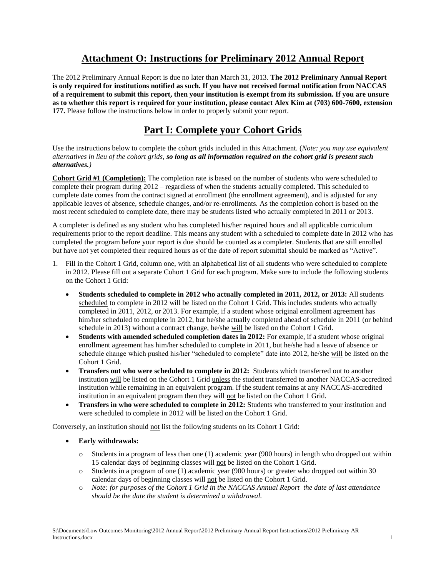### **Attachment O: Instructions for Preliminary 2012 Annual Report**

The 2012 Preliminary Annual Report is due no later than March 31, 2013. **The 2012 Preliminary Annual Report is only required for institutions notified as such. If you have not received formal notification from NACCAS of a requirement to submit this report, then your institution is exempt from its submission. If you are unsure as to whether this report is required for your institution, please contact Alex Kim at (703) 600-7600, extension 177.** Please follow the instructions below in order to properly submit your report.

## **Part I: Complete your Cohort Grids**

Use the instructions below to complete the cohort grids included in this Attachment. (*Note: you may use equivalent alternatives in lieu of the cohort grids, so long as all information required on the cohort grid is present such alternatives.)*

**Cohort Grid #1 (Completion):** The completion rate is based on the number of students who were scheduled to complete their program during 2012 – regardless of when the students actually completed. This scheduled to complete date comes from the contract signed at enrollment (the enrollment agreement), and is adjusted for any applicable leaves of absence, schedule changes, and/or re-enrollments. As the completion cohort is based on the most recent scheduled to complete date, there may be students listed who actually completed in 2011 or 2013.

A completer is defined as any student who has completed his/her required hours and all applicable curriculum requirements prior to the report deadline. This means any student with a scheduled to complete date in 2012 who has completed the program before your report is due should be counted as a completer. Students that are still enrolled but have not yet completed their required hours as of the date of report submittal should be marked as "Active".

- 1. Fill in the Cohort 1 Grid, column one, with an alphabetical list of all students who were scheduled to complete in 2012. Please fill out a separate Cohort 1 Grid for each program. Make sure to include the following students on the Cohort 1 Grid:
	- **Students scheduled to complete in 2012 who actually completed in 2011, 2012, or 2013:** All students scheduled to complete in 2012 will be listed on the Cohort 1 Grid. This includes students who actually completed in 2011, 2012, or 2013. For example, if a student whose original enrollment agreement has him/her scheduled to complete in 2012, but he/she actually completed ahead of schedule in 2011 (or behind schedule in 2013) without a contract change, he/she will be listed on the Cohort 1 Grid.
	- **Students with amended scheduled completion dates in 2012:** For example, if a student whose original enrollment agreement has him/her scheduled to complete in 2011, but he/she had a leave of absence or schedule change which pushed his/her "scheduled to complete" date into 2012, he/she will be listed on the Cohort 1 Grid.
	- **Transfers out who were scheduled to complete in 2012:** Students which transferred out to another institution will be listed on the Cohort 1 Grid unless the student transferred to another NACCAS-accredited institution while remaining in an equivalent program. If the student remains at any NACCAS-accredited institution in an equivalent program then they will not be listed on the Cohort 1 Grid.
	- **Transfers in who were scheduled to complete in 2012:** Students who transferred to your institution and were scheduled to complete in 2012 will be listed on the Cohort 1 Grid.

Conversely, an institution should not list the following students on its Cohort 1 Grid:

- **Early withdrawals:** 
	- o Students in a program of less than one (1) academic year (900 hours) in length who dropped out within 15 calendar days of beginning classes will not be listed on the Cohort 1 Grid.
	- o Students in a program of one (1) academic year (900 hours) or greater who dropped out within 30 calendar days of beginning classes will not be listed on the Cohort 1 Grid.
	- o *Note: for purposes of the Cohort 1 Grid in the NACCAS Annual Report the date of last attendance should be the date the student is determined a withdrawal.*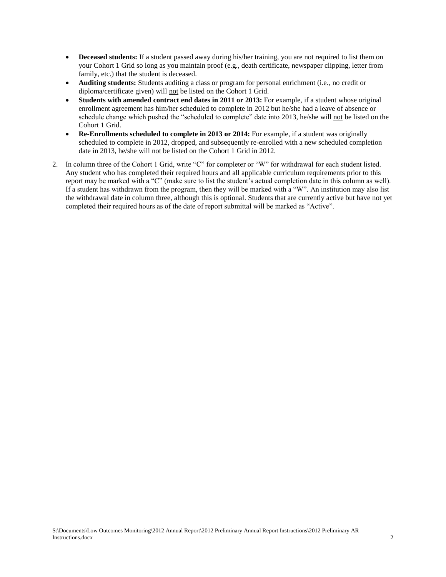- **Deceased students:** If a student passed away during his/her training, you are not required to list them on your Cohort 1 Grid so long as you maintain proof (e.g., death certificate, newspaper clipping, letter from family, etc.) that the student is deceased.
- **Auditing students:** Students auditing a class or program for personal enrichment (i.e., no credit or diploma/certificate given) will not be listed on the Cohort 1 Grid.
- **Students with amended contract end dates in 2011 or 2013:** For example, if a student whose original enrollment agreement has him/her scheduled to complete in 2012 but he/she had a leave of absence or schedule change which pushed the "scheduled to complete" date into 2013, he/she will not be listed on the Cohort 1 Grid.
- **Re-Enrollments scheduled to complete in 2013 or 2014:** For example, if a student was originally scheduled to complete in 2012, dropped, and subsequently re-enrolled with a new scheduled completion date in 2013, he/she will not be listed on the Cohort 1 Grid in 2012.
- 2. In column three of the Cohort 1 Grid, write "C" for completer or "W" for withdrawal for each student listed. Any student who has completed their required hours and all applicable curriculum requirements prior to this report may be marked with a "C" (make sure to list the student's actual completion date in this column as well). If a student has withdrawn from the program, then they will be marked with a "W". An institution may also list the withdrawal date in column three, although this is optional. Students that are currently active but have not yet completed their required hours as of the date of report submittal will be marked as "Active".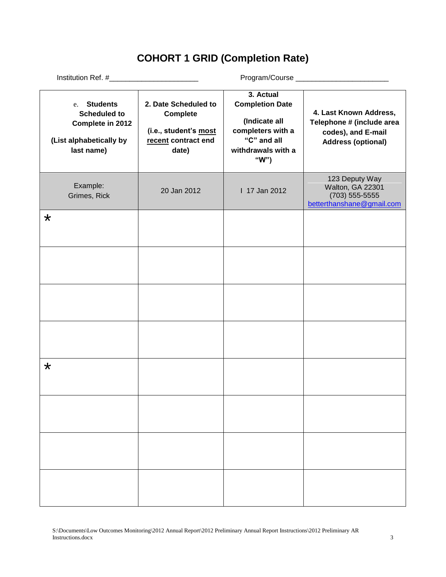# **COHORT 1 GRID (Completion Rate)**

| e. Students<br><b>Scheduled to</b><br>Complete in 2012<br>(List alphabetically by<br>last name) | 2. Date Scheduled to<br><b>Complete</b><br>(i.e., student's most<br>recent contract end<br>date) | 3. Actual<br><b>Completion Date</b><br>(Indicate all<br>completers with a<br>"C" and all<br>withdrawals with a<br>"W") | 4. Last Known Address,<br>Telephone # (include area<br>codes), and E-mail<br><b>Address (optional)</b> |  |
|-------------------------------------------------------------------------------------------------|--------------------------------------------------------------------------------------------------|------------------------------------------------------------------------------------------------------------------------|--------------------------------------------------------------------------------------------------------|--|
| Example:<br>Grimes, Rick                                                                        | 20 Jan 2012                                                                                      | 1 17 Jan 2012                                                                                                          | 123 Deputy Way<br>Walton, GA 22301<br>$(703)$ 555-5555<br>betterthanshane@gmail.com                    |  |
| $\star$                                                                                         |                                                                                                  |                                                                                                                        |                                                                                                        |  |
|                                                                                                 |                                                                                                  |                                                                                                                        |                                                                                                        |  |
|                                                                                                 |                                                                                                  |                                                                                                                        |                                                                                                        |  |
|                                                                                                 |                                                                                                  |                                                                                                                        |                                                                                                        |  |
| $\star$                                                                                         |                                                                                                  |                                                                                                                        |                                                                                                        |  |
|                                                                                                 |                                                                                                  |                                                                                                                        |                                                                                                        |  |
|                                                                                                 |                                                                                                  |                                                                                                                        |                                                                                                        |  |
|                                                                                                 |                                                                                                  |                                                                                                                        |                                                                                                        |  |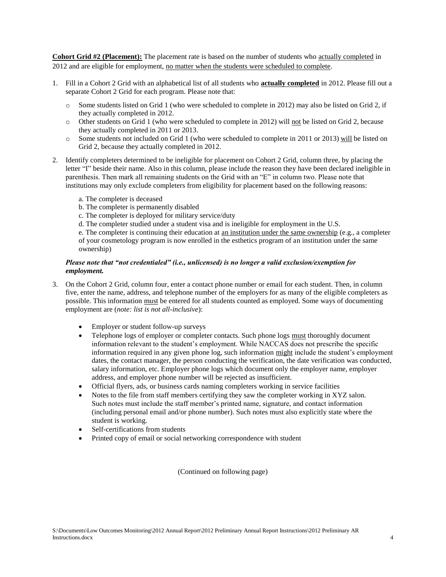**Cohort Grid #2 (Placement):** The placement rate is based on the number of students who actually completed in 2012 and are eligible for employment, no matter when the students were scheduled to complete.

- 1. Fill in a Cohort 2 Grid with an alphabetical list of all students who **actually completed** in 2012. Please fill out a separate Cohort 2 Grid for each program. Please note that:
	- o Some students listed on Grid 1 (who were scheduled to complete in 2012) may also be listed on Grid 2, if they actually completed in 2012.
	- o Other students on Grid 1 (who were scheduled to complete in 2012) will not be listed on Grid 2, because they actually completed in 2011 or 2013.
	- o Some students not included on Grid 1 (who were scheduled to complete in 2011 or 2013) will be listed on Grid 2, because they actually completed in 2012.
- 2. Identify completers determined to be ineligible for placement on Cohort 2 Grid, column three, by placing the letter "I" beside their name. Also in this column, please include the reason they have been declared ineligible in parenthesis. Then mark all remaining students on the Grid with an "E" in column two. Please note that institutions may only exclude completers from eligibility for placement based on the following reasons:
	- a. The completer is deceased
	- b. The completer is permanently disabled
	- c. The completer is deployed for military service/duty
	- d. The completer studied under a student visa and is ineligible for employment in the U.S.

e. The completer is continuing their education at an institution under the same ownership (e.g., a completer of your cosmetology program is now enrolled in the esthetics program of an institution under the same ownership)

### *Please note that "not credentialed" (i.e., unlicensed) is no longer a valid exclusion/exemption for employment.*

- 3. On the Cohort 2 Grid, column four, enter a contact phone number or email for each student. Then, in column five, enter the name, address, and telephone number of the employers for as many of the eligible completers as possible. This information must be entered for all students counted as employed. Some ways of documenting employment are (*note: list is not all-inclusive*):
	- Employer or student follow-up surveys
	- Telephone logs of employer or completer contacts. Such phone logs must thoroughly document information relevant to the student's employment. While NACCAS does not prescribe the specific information required in any given phone log, such information might include the student's employment dates, the contact manager, the person conducting the verification, the date verification was conducted, salary information, etc. Employer phone logs which document only the employer name, employer address, and employer phone number will be rejected as insufficient.
	- Official flyers, ads, or business cards naming completers working in service facilities
	- Notes to the file from staff members certifying they saw the completer working in XYZ salon. Such notes must include the staff member's printed name, signature, and contact information (including personal email and/or phone number). Such notes must also explicitly state where the student is working.
	- Self-certifications from students
	- Printed copy of email or social networking correspondence with student

(Continued on following page)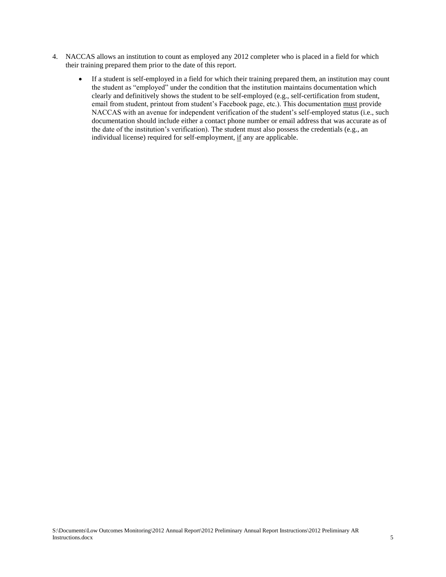- 4. NACCAS allows an institution to count as employed any 2012 completer who is placed in a field for which their training prepared them prior to the date of this report.
	- If a student is self-employed in a field for which their training prepared them, an institution may count the student as "employed" under the condition that the institution maintains documentation which clearly and definitively shows the student to be self-employed (e.g., self-certification from student, email from student, printout from student's Facebook page, etc.). This documentation must provide NACCAS with an avenue for independent verification of the student's self-employed status (i.e., such documentation should include either a contact phone number or email address that was accurate as of the date of the institution's verification). The student must also possess the credentials (e.g., an individual license) required for self-employment, if any are applicable.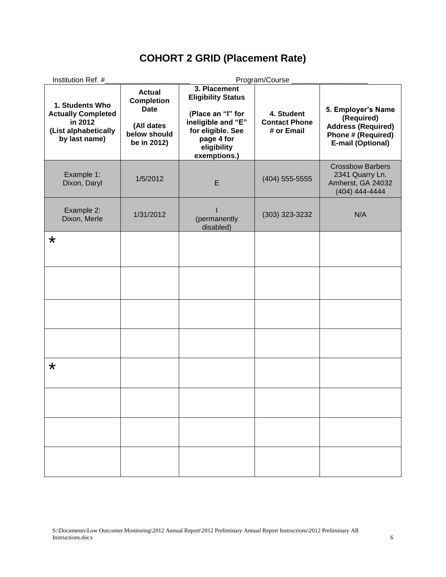## **COHORT 2 GRID (Placement Rate)**

| Institution Ref. #                                                                               |                                                                                                | Program/Course                                                                                                                                         |                                                  |                                                                                                                 |  |
|--------------------------------------------------------------------------------------------------|------------------------------------------------------------------------------------------------|--------------------------------------------------------------------------------------------------------------------------------------------------------|--------------------------------------------------|-----------------------------------------------------------------------------------------------------------------|--|
| 1. Students Who<br><b>Actually Completed</b><br>in 2012<br>(List alphabetically<br>by last name) | <b>Actual</b><br><b>Completion</b><br><b>Date</b><br>(All dates<br>below should<br>be in 2012) | 3. Placement<br><b>Eligibility Status</b><br>(Place an "I" for<br>ineligible and "E"<br>for eligible. See<br>page 4 for<br>eligibility<br>exemptions.) | 4. Student<br><b>Contact Phone</b><br># or Email | 5. Employer's Name<br>(Required)<br><b>Address (Required)</b><br><b>Phone # (Required)</b><br>E-mail (Optional) |  |
| Example 1:<br>Dixon, Daryl                                                                       | 1/5/2012                                                                                       | E                                                                                                                                                      | $(404)$ 555-5555                                 | <b>Crossbow Barbers</b><br>2341 Quarry Ln.<br>Amherst, GA 24032<br>(404) 444-4444                               |  |
| Example 2:<br>Dixon, Merle                                                                       | 1/31/2012                                                                                      | (permanently<br>disabled)                                                                                                                              | (303) 323-3232                                   | N/A                                                                                                             |  |
| $\star$                                                                                          |                                                                                                |                                                                                                                                                        |                                                  |                                                                                                                 |  |
|                                                                                                  |                                                                                                |                                                                                                                                                        |                                                  |                                                                                                                 |  |
|                                                                                                  |                                                                                                |                                                                                                                                                        |                                                  |                                                                                                                 |  |
|                                                                                                  |                                                                                                |                                                                                                                                                        |                                                  |                                                                                                                 |  |
| $\star$                                                                                          |                                                                                                |                                                                                                                                                        |                                                  |                                                                                                                 |  |
|                                                                                                  |                                                                                                |                                                                                                                                                        |                                                  |                                                                                                                 |  |
|                                                                                                  |                                                                                                |                                                                                                                                                        |                                                  |                                                                                                                 |  |
|                                                                                                  |                                                                                                |                                                                                                                                                        |                                                  |                                                                                                                 |  |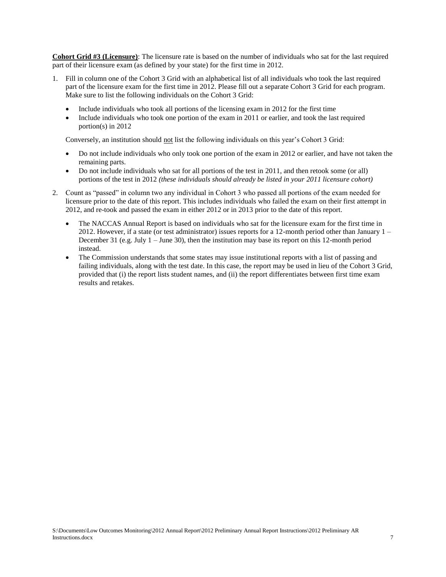**Cohort Grid #3 (Licensure)**: The licensure rate is based on the number of individuals who sat for the last required part of their licensure exam (as defined by your state) for the first time in 2012.

- 1. Fill in column one of the Cohort 3 Grid with an alphabetical list of all individuals who took the last required part of the licensure exam for the first time in 2012. Please fill out a separate Cohort 3 Grid for each program. Make sure to list the following individuals on the Cohort 3 Grid:
	- Include individuals who took all portions of the licensing exam in 2012 for the first time
	- Include individuals who took one portion of the exam in 2011 or earlier, and took the last required portion(s) in 2012

Conversely, an institution should not list the following individuals on this year's Cohort 3 Grid:

- Do not include individuals who only took one portion of the exam in 2012 or earlier, and have not taken the remaining parts.
- Do not include individuals who sat for all portions of the test in 2011, and then retook some (or all) portions of the test in 2012 *(these individuals should already be listed in your 2011 licensure cohort)*
- 2. Count as "passed" in column two any individual in Cohort 3 who passed all portions of the exam needed for licensure prior to the date of this report. This includes individuals who failed the exam on their first attempt in 2012, and re-took and passed the exam in either 2012 or in 2013 prior to the date of this report.
	- The NACCAS Annual Report is based on individuals who sat for the licensure exam for the first time in 2012. However, if a state (or test administrator) issues reports for a 12-month period other than January 1 – December 31 (e.g. July  $1 -$  June 30), then the institution may base its report on this 12-month period instead.
	- The Commission understands that some states may issue institutional reports with a list of passing and failing individuals, along with the test date. In this case, the report may be used in lieu of the Cohort 3 Grid, provided that (i) the report lists student names, and (ii) the report differentiates between first time exam results and retakes.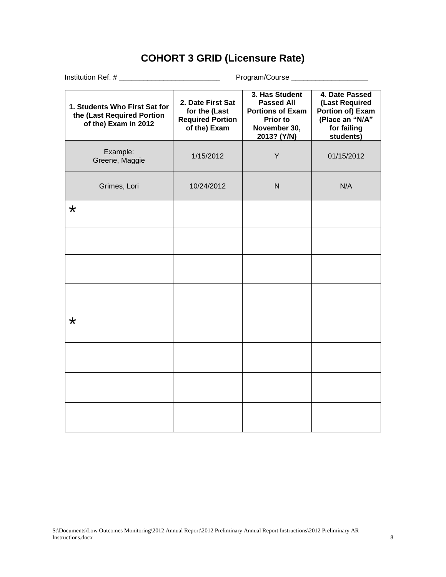## **COHORT 3 GRID (Licensure Rate)**

|                                                                                     | Program/Course ______________________                                         |                                                                                                                  |                                                                                                     |  |
|-------------------------------------------------------------------------------------|-------------------------------------------------------------------------------|------------------------------------------------------------------------------------------------------------------|-----------------------------------------------------------------------------------------------------|--|
| 1. Students Who First Sat for<br>the (Last Required Portion<br>of the) Exam in 2012 | 2. Date First Sat<br>for the (Last<br><b>Required Portion</b><br>of the) Exam | 3. Has Student<br><b>Passed All</b><br><b>Portions of Exam</b><br><b>Prior to</b><br>November 30,<br>2013? (Y/N) | 4. Date Passed<br>(Last Required<br>Portion of) Exam<br>(Place an "N/A"<br>for failing<br>students) |  |
| Example:<br>Greene, Maggie                                                          | 1/15/2012                                                                     | Y                                                                                                                | 01/15/2012                                                                                          |  |
| Grimes, Lori                                                                        | 10/24/2012                                                                    | $\mathsf{N}$                                                                                                     | N/A                                                                                                 |  |
| $\star$                                                                             |                                                                               |                                                                                                                  |                                                                                                     |  |
|                                                                                     |                                                                               |                                                                                                                  |                                                                                                     |  |
|                                                                                     |                                                                               |                                                                                                                  |                                                                                                     |  |
|                                                                                     |                                                                               |                                                                                                                  |                                                                                                     |  |
| $\star$                                                                             |                                                                               |                                                                                                                  |                                                                                                     |  |
|                                                                                     |                                                                               |                                                                                                                  |                                                                                                     |  |
|                                                                                     |                                                                               |                                                                                                                  |                                                                                                     |  |
|                                                                                     |                                                                               |                                                                                                                  |                                                                                                     |  |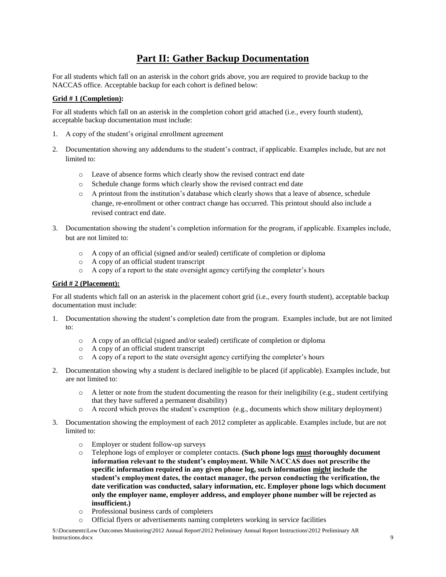## **Part II: Gather Backup Documentation**

For all students which fall on an asterisk in the cohort grids above, you are required to provide backup to the NACCAS office. Acceptable backup for each cohort is defined below:

### **Grid # 1 (Completion):**

For all students which fall on an asterisk in the completion cohort grid attached (i.e., every fourth student), acceptable backup documentation must include:

- 1. A copy of the student's original enrollment agreement
- 2. Documentation showing any addendums to the student's contract, if applicable. Examples include, but are not limited to:
	- o Leave of absence forms which clearly show the revised contract end date
	- o Schedule change forms which clearly show the revised contract end date
	- o A printout from the institution's database which clearly shows that a leave of absence, schedule change, re-enrollment or other contract change has occurred. This printout should also include a revised contract end date.
- 3. Documentation showing the student's completion information for the program, if applicable. Examples include, but are not limited to:
	- o A copy of an official (signed and/or sealed) certificate of completion or diploma
	- o A copy of an official student transcript
	- o A copy of a report to the state oversight agency certifying the completer's hours

#### **Grid # 2 (Placement):**

For all students which fall on an asterisk in the placement cohort grid (i.e., every fourth student), acceptable backup documentation must include:

- 1. Documentation showing the student's completion date from the program. Examples include, but are not limited to:
	- o A copy of an official (signed and/or sealed) certificate of completion or diploma
	- o A copy of an official student transcript
	- o A copy of a report to the state oversight agency certifying the completer's hours
- 2. Documentation showing why a student is declared ineligible to be placed (if applicable). Examples include, but are not limited to:
	- $\circ$  A letter or note from the student documenting the reason for their ineligibility (e.g., student certifying that they have suffered a permanent disability)
	- o A record which proves the student's exemption (e.g., documents which show military deployment)
- 3. Documentation showing the employment of each 2012 completer as applicable. Examples include, but are not limited to:
	- o Employer or student follow-up surveys
	- o Telephone logs of employer or completer contacts. **(Such phone logs must thoroughly document information relevant to the student's employment. While NACCAS does not prescribe the specific information required in any given phone log, such information might include the student's employment dates, the contact manager, the person conducting the verification, the date verification was conducted, salary information, etc. Employer phone logs which document only the employer name, employer address, and employer phone number will be rejected as insufficient.)**
	- o Professional business cards of completers
	- o Official flyers or advertisements naming completers working in service facilities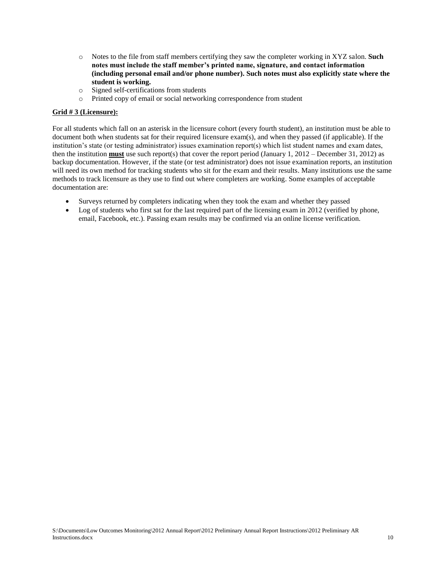- o Notes to the file from staff members certifying they saw the completer working in XYZ salon. **Such notes must include the staff member's printed name, signature, and contact information (including personal email and/or phone number). Such notes must also explicitly state where the student is working.**
- o Signed self-certifications from students
- o Printed copy of email or social networking correspondence from student

### **Grid # 3 (Licensure):**

For all students which fall on an asterisk in the licensure cohort (every fourth student), an institution must be able to document both when students sat for their required licensure exam(s), and when they passed (if applicable). If the institution's state (or testing administrator) issues examination report(s) which list student names and exam dates, then the institution **must** use such report(s) that cover the report period (January 1, 2012 – December 31, 2012) as backup documentation. However, if the state (or test administrator) does not issue examination reports, an institution will need its own method for tracking students who sit for the exam and their results. Many institutions use the same methods to track licensure as they use to find out where completers are working. Some examples of acceptable documentation are:

- Surveys returned by completers indicating when they took the exam and whether they passed
- Log of students who first sat for the last required part of the licensing exam in 2012 (verified by phone, email, Facebook, etc.). Passing exam results may be confirmed via an online license verification.